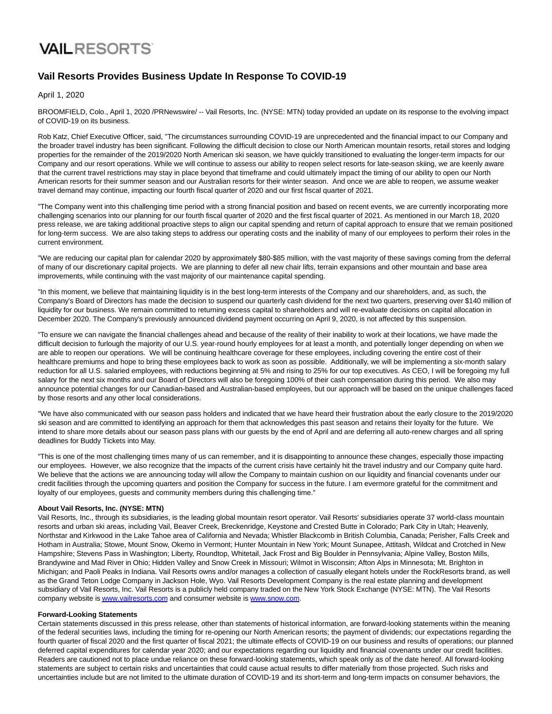## **VAIL RESORTS**

### **Vail Resorts Provides Business Update In Response To COVID-19**

April 1, 2020

BROOMFIELD, Colo., April 1, 2020 /PRNewswire/ -- Vail Resorts, Inc. (NYSE: MTN) today provided an update on its response to the evolving impact of COVID-19 on its business.

Rob Katz, Chief Executive Officer, said, "The circumstances surrounding COVID-19 are unprecedented and the financial impact to our Company and the broader travel industry has been significant. Following the difficult decision to close our North American mountain resorts, retail stores and lodging properties for the remainder of the 2019/2020 North American ski season, we have quickly transitioned to evaluating the longer-term impacts for our Company and our resort operations. While we will continue to assess our ability to reopen select resorts for late-season skiing, we are keenly aware that the current travel restrictions may stay in place beyond that timeframe and could ultimately impact the timing of our ability to open our North American resorts for their summer season and our Australian resorts for their winter season. And once we are able to reopen, we assume weaker travel demand may continue, impacting our fourth fiscal quarter of 2020 and our first fiscal quarter of 2021.

"The Company went into this challenging time period with a strong financial position and based on recent events, we are currently incorporating more challenging scenarios into our planning for our fourth fiscal quarter of 2020 and the first fiscal quarter of 2021. As mentioned in our March 18, 2020 press release, we are taking additional proactive steps to align our capital spending and return of capital approach to ensure that we remain positioned for long-term success. We are also taking steps to address our operating costs and the inability of many of our employees to perform their roles in the current environment.

"We are reducing our capital plan for calendar 2020 by approximately \$80-\$85 million, with the vast majority of these savings coming from the deferral of many of our discretionary capital projects. We are planning to defer all new chair lifts, terrain expansions and other mountain and base area improvements, while continuing with the vast majority of our maintenance capital spending.

"In this moment, we believe that maintaining liquidity is in the best long-term interests of the Company and our shareholders, and, as such, the Company's Board of Directors has made the decision to suspend our quarterly cash dividend for the next two quarters, preserving over \$140 million of liquidity for our business. We remain committed to returning excess capital to shareholders and will re-evaluate decisions on capital allocation in December 2020. The Company's previously announced dividend payment occurring on April 9, 2020, is not affected by this suspension.

"To ensure we can navigate the financial challenges ahead and because of the reality of their inability to work at their locations, we have made the difficult decision to furlough the majority of our U.S. year-round hourly employees for at least a month, and potentially longer depending on when we are able to reopen our operations. We will be continuing healthcare coverage for these employees, including covering the entire cost of their healthcare premiums and hope to bring these employees back to work as soon as possible. Additionally, we will be implementing a six-month salary reduction for all U.S. salaried employees, with reductions beginning at 5% and rising to 25% for our top executives. As CEO, I will be foregoing my full salary for the next six months and our Board of Directors will also be foregoing 100% of their cash compensation during this period. We also may announce potential changes for our Canadian-based and Australian-based employees, but our approach will be based on the unique challenges faced by those resorts and any other local considerations.

"We have also communicated with our season pass holders and indicated that we have heard their frustration about the early closure to the 2019/2020 ski season and are committed to identifying an approach for them that acknowledges this past season and retains their loyalty for the future. We intend to share more details about our season pass plans with our guests by the end of April and are deferring all auto-renew charges and all spring deadlines for Buddy Tickets into May.

"This is one of the most challenging times many of us can remember, and it is disappointing to announce these changes, especially those impacting our employees. However, we also recognize that the impacts of the current crisis have certainly hit the travel industry and our Company quite hard. We believe that the actions we are announcing today will allow the Company to maintain cushion on our liquidity and financial covenants under our credit facilities through the upcoming quarters and position the Company for success in the future. I am evermore grateful for the commitment and loyalty of our employees, quests and community members during this challenging time."

#### **About Vail Resorts, Inc. (NYSE: MTN)**

Vail Resorts, Inc., through its subsidiaries, is the leading global mountain resort operator. Vail Resorts' subsidiaries operate 37 world-class mountain resorts and urban ski areas, including Vail, Beaver Creek, Breckenridge, Keystone and Crested Butte in Colorado; Park City in Utah; Heavenly, Northstar and Kirkwood in the Lake Tahoe area of California and Nevada; Whistler Blackcomb in British Columbia, Canada; Perisher, Falls Creek and Hotham in Australia; Stowe, Mount Snow, Okemo in Vermont; Hunter Mountain in New York; Mount Sunapee, Attitash, Wildcat and Crotched in New Hampshire; Stevens Pass in Washington; Liberty, Roundtop, Whitetail, Jack Frost and Big Boulder in Pennsylvania; Alpine Valley, Boston Mills, Brandywine and Mad River in Ohio; Hidden Valley and Snow Creek in Missouri; Wilmot in Wisconsin; Afton Alps in Minnesota; Mt. Brighton in Michigan; and Paoli Peaks in Indiana. Vail Resorts owns and/or manages a collection of casually elegant hotels under the RockResorts brand, as well as the Grand Teton Lodge Company in Jackson Hole, Wyo. Vail Resorts Development Company is the real estate planning and development subsidiary of Vail Resorts, Inc. Vail Resorts is a publicly held company traded on the New York Stock Exchange (NYSE: MTN). The Vail Resorts company website i[s www.vailresorts.com a](https://c212.net/c/link/?t=0&l=en&o=2766908-1&h=511491110&u=http%3A%2F%2Fwww.vailresorts.com%2F&a=www.vailresorts.com)nd consumer website is [www.snow.com.](https://c212.net/c/link/?t=0&l=en&o=2766908-1&h=957667401&u=http%3A%2F%2Fwww.snow.com%2F&a=www.snow.com)

#### **Forward-Looking Statements**

Certain statements discussed in this press release, other than statements of historical information, are forward-looking statements within the meaning of the federal securities laws, including the timing for re-opening our North American resorts; the payment of dividends; our expectations regarding the fourth quarter of fiscal 2020 and the first quarter of fiscal 2021; the ultimate effects of COVID-19 on our business and results of operations; our planned deferred capital expenditures for calendar year 2020; and our expectations regarding our liquidity and financial covenants under our credit facilities. Readers are cautioned not to place undue reliance on these forward-looking statements, which speak only as of the date hereof. All forward-looking statements are subject to certain risks and uncertainties that could cause actual results to differ materially from those projected. Such risks and uncertainties include but are not limited to the ultimate duration of COVID-19 and its short-term and long-term impacts on consumer behaviors, the